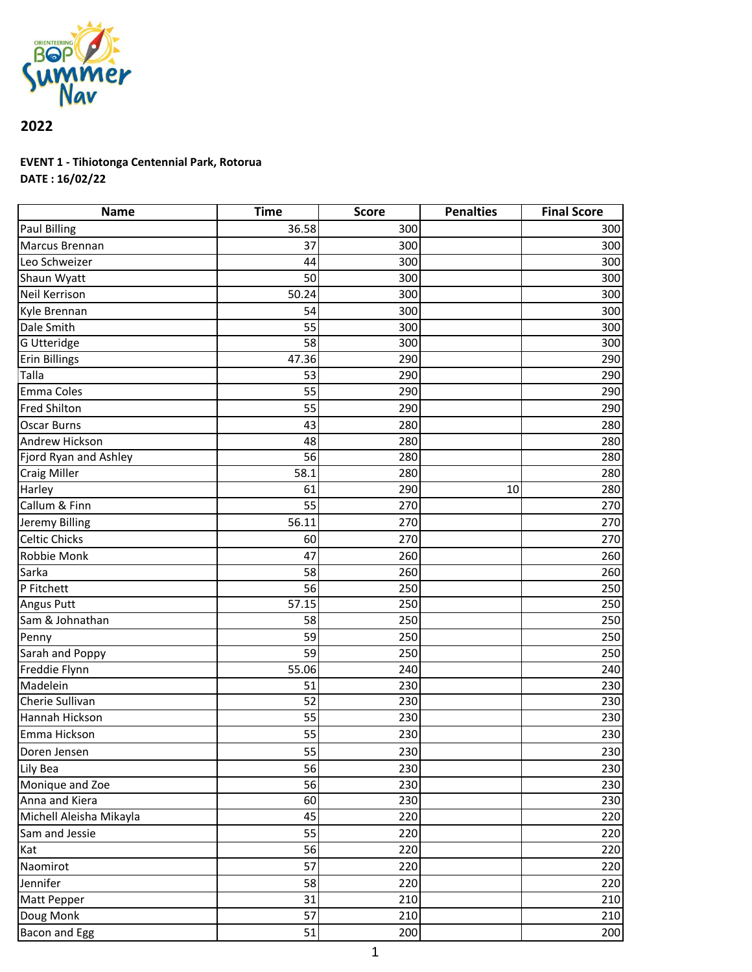

## **2022**

## **EVENT 1 - Tihiotonga Centennial Park, Rotorua DATE : 16/02/22**

| <b>Name</b>             | <b>Time</b>     | <b>Score</b> | <b>Penalties</b> | <b>Final Score</b> |
|-------------------------|-----------------|--------------|------------------|--------------------|
| <b>Paul Billing</b>     | 36.58           | 300          |                  | 300                |
| Marcus Brennan          | 37              | 300          |                  | 300                |
| Leo Schweizer           | 44              | 300          |                  | 300                |
| Shaun Wyatt             | 50              | 300          |                  | 300                |
| Neil Kerrison           | 50.24           | 300          |                  | 300                |
| Kyle Brennan            | 54              | 300          |                  | 300                |
| Dale Smith              | 55              | 300          |                  | 300                |
| G Utteridge             | 58              | 300          |                  | 300                |
| <b>Erin Billings</b>    | 47.36           | 290          |                  | 290                |
| Talla                   | 53              | 290          |                  | 290                |
| Emma Coles              | 55              | 290          |                  | 290                |
| <b>Fred Shilton</b>     | 55              | 290          |                  | 290                |
| <b>Oscar Burns</b>      | 43              | 280          |                  | 280                |
| Andrew Hickson          | 48              | 280          |                  | 280                |
| Fjord Ryan and Ashley   | 56              | 280          |                  | 280                |
| <b>Craig Miller</b>     | 58.1            | 280          |                  | 280                |
| <b>Harley</b>           | 61              | 290          | 10               | 280                |
| Callum & Finn           | 55              | 270          |                  | 270                |
| Jeremy Billing          | 56.11           | 270          |                  | 270                |
| <b>Celtic Chicks</b>    | 60              | 270          |                  | 270                |
| Robbie Monk             | 47              | 260          |                  | 260                |
| Sarka                   | 58              | 260          |                  | 260                |
| P Fitchett              | 56              | 250          |                  | 250                |
| <b>Angus Putt</b>       | 57.15           | 250          |                  | 250                |
| Sam & Johnathan         | 58              | 250          |                  | 250                |
| Penny                   | 59              | 250          |                  | 250                |
| Sarah and Poppy         | 59              | 250          |                  | 250                |
| Freddie Flynn           | 55.06           | 240          |                  | 240                |
| Madelein                | 51              | 230          |                  | 230                |
| Cherie Sullivan         | 52              | 230          |                  | 230                |
| Hannah Hickson          | 55              | 230          |                  | 230                |
| Emma Hickson            | 55              | 230          |                  | 230                |
| Doren Jensen            | 55              | 230          |                  | 230                |
| Lily Bea                | 56              | 230          |                  | 230                |
| Monique and Zoe         | 56              | 230          |                  | 230                |
| Anna and Kiera          | 60              | 230          |                  | 230                |
| Michell Aleisha Mikayla | 45              | 220          |                  | 220                |
| Sam and Jessie          | 55              | 220          |                  | 220                |
| Kat                     | 56              | 220          |                  | 220                |
| Naomirot                | 57              | 220          |                  | 220                |
| Jennifer                | 58              | 220          |                  | 220                |
| Matt Pepper             | 31              | 210          |                  | 210                |
| Doug Monk               | $\overline{57}$ | 210          |                  | 210                |
| Bacon and Egg           | 51              | 200          |                  | 200                |